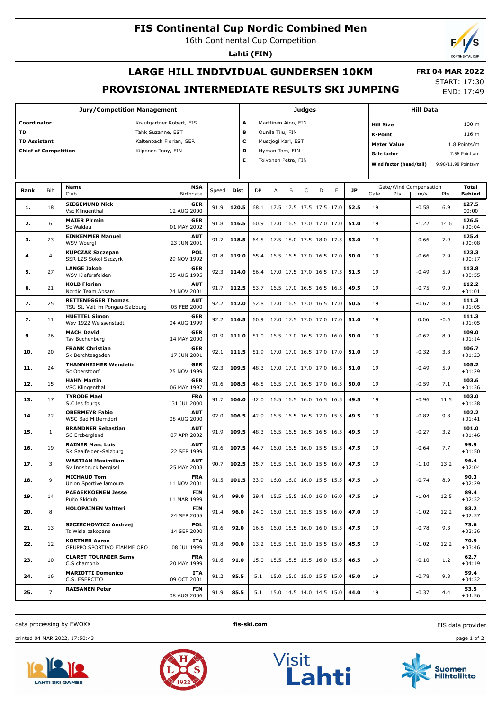# **FIS Continental Cup Nordic Combined Men**

16th Continental Cup Competition

**Lahti (FIN)**

# **LARGE HILL INDIVIDUAL GUNDERSEN 10KM PROVISIONAL INTERMEDIATE RESULTS SKI JUMPING**

 **FRI 04 MAR 2022** START: 17:30 END: 17:49

| <b>Jury/Competition Management</b>                                      |                                                                                                |                                                              |                           |       |                                                                                                        |           |                            | <b>Judges</b> |                                                                                                                                                                                     | <b>Hill Data</b> |           |                                       |         |        |                        |
|-------------------------------------------------------------------------|------------------------------------------------------------------------------------------------|--------------------------------------------------------------|---------------------------|-------|--------------------------------------------------------------------------------------------------------|-----------|----------------------------|---------------|-------------------------------------------------------------------------------------------------------------------------------------------------------------------------------------|------------------|-----------|---------------------------------------|---------|--------|------------------------|
| Coordinator<br>TD<br><b>TD Assistant</b><br><b>Chief of Competition</b> | Krautgartner Robert, FIS<br>Tahk Suzanne, EST<br>Kaltenbach Florian, GER<br>Kilponen Tony, FIN |                                                              | A<br>в<br>c<br>D<br>Е     |       | Marttinen Aino, FIN<br>Ounila Tiiu, FIN<br>Mustjogi Karl, EST<br>Nyman Tom, FIN<br>Toivonen Petra, FIN |           |                            |               | 130 m<br><b>Hill Size</b><br><b>K-Point</b><br>116 m<br><b>Meter Value</b><br>1.8 Points/m<br><b>Gate factor</b><br>7.56 Points/m<br>Wind factor (head/tail)<br>9.90/11.98 Points/m |                  |           |                                       |         |        |                        |
| Rank                                                                    | <b>Bib</b>                                                                                     | Name<br>Club                                                 | <b>NSA</b><br>Birthdate   | Speed | <b>Dist</b>                                                                                            | <b>DP</b> | B<br>A                     | $\mathsf C$   | D                                                                                                                                                                                   | E                | <b>JP</b> | Gate/Wind Compensation<br>Gate<br>Pts | m/s     | Pts    | Total<br><b>Behind</b> |
| 1.                                                                      | 18                                                                                             | <b>SIEGEMUND Nick</b><br>Vsc Klingenthal                     | <b>GER</b><br>12 AUG 2000 | 91.9  | 120.5                                                                                                  | 68.1      | 17.5 17.5 17.5 17.5 17.0   |               |                                                                                                                                                                                     |                  | 52.5      | 19                                    | $-0.58$ | 6.9    | 127.5<br>00:00         |
| 2.                                                                      | 6                                                                                              | <b>MAIER Pirmin</b><br>Sc Waldau                             | <b>GER</b><br>01 MAY 2002 | 91.8  | 116.5                                                                                                  | 60.9      | 17.0 16.5 17.0 17.0 17.0   |               |                                                                                                                                                                                     |                  | 51.0      | 19                                    | $-1.22$ | 14.6   | 126.5<br>$+00:04$      |
| З.                                                                      | 23                                                                                             | <b>EINKEMMER Manuel</b><br><b>WSV Woergl</b>                 | <b>AUT</b><br>23 JUN 2001 |       | 91.7 118.5                                                                                             | 64.5      | 17.5 18.0 17.5 18.0 17.5   |               |                                                                                                                                                                                     |                  | 53.0      | 19                                    | $-0.66$ | 7.9    | 125.4<br>$+00:08$      |
| 4.                                                                      | $\overline{4}$                                                                                 | <b>KUPCZAK Szczepan</b><br>SSR LZS Sokol Szczyrk             | <b>POL</b><br>29 NOV 1992 | 91.8  | 119.0                                                                                                  | 65.4      | 16.5 16.5 17.0 16.5 17.0   |               |                                                                                                                                                                                     |                  | 50.0      | 19                                    | $-0.66$ | 7.9    | 123.3<br>$+00:17$      |
| 5.                                                                      | 27                                                                                             | <b>LANGE Jakob</b><br>WSV Kiefersfelden                      | <b>GER</b><br>05 AUG 1995 | 92.3  | 114.0                                                                                                  | 56.4      | 17.0 17.5 17.0 16.5 17.5   |               |                                                                                                                                                                                     |                  | 51.5      | 19                                    | $-0.49$ | 5.9    | 113.8<br>$+00:55$      |
| 6.                                                                      | 21                                                                                             | <b>KOLB Florian</b><br>Nordic Team Absam                     | <b>AUT</b><br>24 NOV 2001 | 91.7  | 112.5                                                                                                  | 53.7      | 16.5 17.0 16.5 16.5 16.5   |               |                                                                                                                                                                                     |                  | 49.5      | 19                                    | $-0.75$ | 9.0    | 112.2<br>$+01:01$      |
| 7.                                                                      | 25                                                                                             | <b>RETTENEGGER Thomas</b><br>TSU St. Veit im Pongau-Salzburg | <b>AUT</b><br>05 FEB 2000 | 92.2  | 112.0                                                                                                  | 52.8      | 17.0 16.5 17.0 16.5 17.0   |               |                                                                                                                                                                                     |                  | 50.5      | 19                                    | $-0.67$ | 8.0    | 111.3<br>$+01:05$      |
| 7.                                                                      | 11                                                                                             | <b>HUETTEL Simon</b><br>Wsv 1922 Weissenstadt                | <b>GER</b><br>04 AUG 1999 |       | 92.2 116.5                                                                                             | 60.9      | 17.0 17.5 17.0 17.0 17.0   |               |                                                                                                                                                                                     |                  | 51.0      | 19                                    | 0.06    | $-0.6$ | 111.3<br>$+01:05$      |
| 9.                                                                      | 26                                                                                             | <b>MACH David</b><br><b>Tsv Buchenberg</b>                   | <b>GER</b><br>14 MAY 2000 | 91.9  | 111.0                                                                                                  | 51.0      | 16.5 17.0 16.5 17.0 16.0   |               |                                                                                                                                                                                     |                  | 50.0      | 19                                    | $-0.67$ | 8.0    | 109.0<br>$+01:14$      |
| 10.                                                                     | 20                                                                                             | <b>FRANK Christian</b><br>Sk Berchtesgaden                   | <b>GER</b><br>17 JUN 2001 |       | 92.1 111.5                                                                                             | 51.9      | 17.0 17.0 16.5 17.0 17.0   |               |                                                                                                                                                                                     |                  | 51.0      | 19                                    | $-0.32$ | 3.8    | 106.7<br>$+01:23$      |
| 11.                                                                     | 24                                                                                             | <b>THANNHEIMER Wendelin</b><br>Sc Oberstdorf                 | <b>GER</b><br>25 NOV 1999 | 92.3  | 109.5                                                                                                  | 48.3      | 17.0 17.0 17.0 17.0 16.5   |               |                                                                                                                                                                                     |                  | 51.0      | 19                                    | $-0.49$ | 5.9    | 105.2<br>$+01:29$      |
| 12.                                                                     | 15                                                                                             | <b>HAHN Martin</b><br><b>VSC Klingenthal</b>                 | <b>GER</b><br>06 MAY 1997 | 91.6  | 108.5                                                                                                  | 46.5      | 16.5 17.0 16.5 17.0 16.5   |               |                                                                                                                                                                                     |                  | 50.0      | 19                                    | $-0.59$ | 7.1    | 103.6<br>$+01:36$      |
| 13.                                                                     | 17                                                                                             | <b>TYRODE Mael</b><br>S.C les fourgs                         | <b>FRA</b><br>31 JUL 2000 | 91.7  | 106.0                                                                                                  | 42.0      | 16.5 16.5 16.0 16.5 16.5   |               |                                                                                                                                                                                     |                  | 49.5      | 19                                    | $-0.96$ | 11.5   | 103.0<br>$+01:38$      |
| 14.                                                                     | 22                                                                                             | <b>OBERMEYR Fabio</b><br><b>WSC Bad Mitterndorf</b>          | <b>AUT</b><br>08 AUG 2000 | 92.0  | 106.5                                                                                                  | 42.9      | 16.5 16.5 16.5 17.0 15.5   |               |                                                                                                                                                                                     |                  | 49.5      | 19                                    | $-0.82$ | 9.8    | 102.2<br>$+01:41$      |
| 15.                                                                     | $\mathbf{1}$                                                                                   | <b>BRANDNER Sebastian</b><br>SC Erzbergland                  | <b>AUT</b><br>07 APR 2002 | 91.9  | 109.5                                                                                                  | 48.3      | 16.5 16.5 16.5 16.5 16.5   |               |                                                                                                                                                                                     |                  | 49.5      | 19                                    | $-0.27$ | 3.2    | 101.0<br>$+01:46$      |
| 16.                                                                     | 19                                                                                             | <b>RAINER Marc Luis</b><br>SK Saalfelden-Salzburg            | <b>AUT</b><br>22 SEP 1999 | 91.6  | 107.5                                                                                                  | 44.7      | 16.0 16.5 16.0 15.5 15.5   |               |                                                                                                                                                                                     |                  | 47.5      | 19                                    | $-0.64$ | 7.7    | 99.9<br>$+01:50$       |
| 17.                                                                     | 3                                                                                              | <b>WASTIAN Maximilian</b><br>Sv Innsbruck bergisel           | <b>AUT</b><br>25 MAY 2003 |       | 90.7 102.5                                                                                             | 35.7      | 15.5 16.0 16.0 15.5 16.0   |               |                                                                                                                                                                                     |                  | 47.5      | 19                                    | $-1.10$ | 13.2   | 96.4<br>$+02:04$       |
| 18.                                                                     | 9                                                                                              | <b>MICHAUD Tom</b><br>Union Sportive lamoura                 | <b>FRA</b><br>11 NOV 2001 |       | 91.5 101.5                                                                                             | 33.9      | $16.0$ 16.0 16.0 15.5 15.5 |               |                                                                                                                                                                                     |                  | 47.5      | 19                                    | $-0.74$ | 8.9    | 90.3<br>$+02:29$       |
| 19.                                                                     | 14                                                                                             | <b>PAEAEKKOENEN Jesse</b><br>Puijo Skiclub                   | <b>FIN</b><br>11 MAR 1999 | 91.4  | 99.0                                                                                                   | 29.4      | 15.5 15.5 16.0 16.0 16.0   |               |                                                                                                                                                                                     |                  | 47.5      | 19                                    | $-1.04$ | 12.5   | 89.4<br>$+02:32$       |
| 20.                                                                     | 8                                                                                              | <b>HOLOPAINEN Valtteri</b>                                   | FIN<br>24 SEP 2005        | 91.4  | 96.0                                                                                                   | 24.0      | 16.0 15.0 15.5 15.5 16.0   |               |                                                                                                                                                                                     |                  | 47.0      | 19                                    | $-1.02$ | 12.2   | 83.2<br>$+02:57$       |
| 21.                                                                     | 13                                                                                             | SZCZECHOWICZ Andrzej<br>Ts Wisla zakopane                    | <b>POL</b><br>14 SEP 2000 | 91.6  | 92.0                                                                                                   | 16.8      | 16.0 15.5 16.0 16.0 15.5   |               |                                                                                                                                                                                     |                  | 47.5      | 19                                    | $-0.78$ | 9.3    | 73.6<br>$+03:36$       |
| 22.                                                                     | 12                                                                                             | <b>KOSTNER Aaron</b><br>GRUPPO SPORTIVO FIAMME ORO           | ITA<br>08 JUL 1999        | 91.8  | 90.0                                                                                                   | 13.2      | 15.5 15.0 15.0 15.5 15.0   |               |                                                                                                                                                                                     |                  | 45.5      | 19                                    | $-1.02$ | 12.2   | 70.9<br>$+03:46$       |
| 23.                                                                     | 10                                                                                             | <b>CLARET TOURNIER Samy</b><br>C.S chamonix                  | <b>FRA</b><br>20 MAY 1999 | 91.6  | 91.0                                                                                                   | 15.0      | 15.5 15.5 15.5 16.0 15.5   |               |                                                                                                                                                                                     |                  | 46.5      | 19                                    | $-0.10$ | 1.2    | 62.7<br>$+04:19$       |
| 24.                                                                     | 16                                                                                             | <b>MARIOTTI Domenico</b><br>C.S. ESERCITO                    | ITA<br>09 OCT 2001        | 91.2  | 85.5                                                                                                   | 5.1       | 15.0 15.0 15.0 15.5 15.0   |               |                                                                                                                                                                                     |                  | 45.0      | 19                                    | $-0.78$ | 9.3    | 59.4<br>$+04:32$       |
| 25.                                                                     | $\overline{7}$                                                                                 | <b>RAISANEN Peter</b>                                        | <b>FIN</b><br>08 AUG 2006 | 91.9  | 85.5                                                                                                   | 5.1       | 15.0 14.5 14.0 14.5 15.0   |               |                                                                                                                                                                                     |                  | 44.0      | 19                                    | $-0.37$ | 4.4    | 53.5<br>$+04:56$       |

data processing by EWOXX **fis-ski.com**

FIS data provider

printed 04 MAR 2022, 17:50:43 page 1 of 2